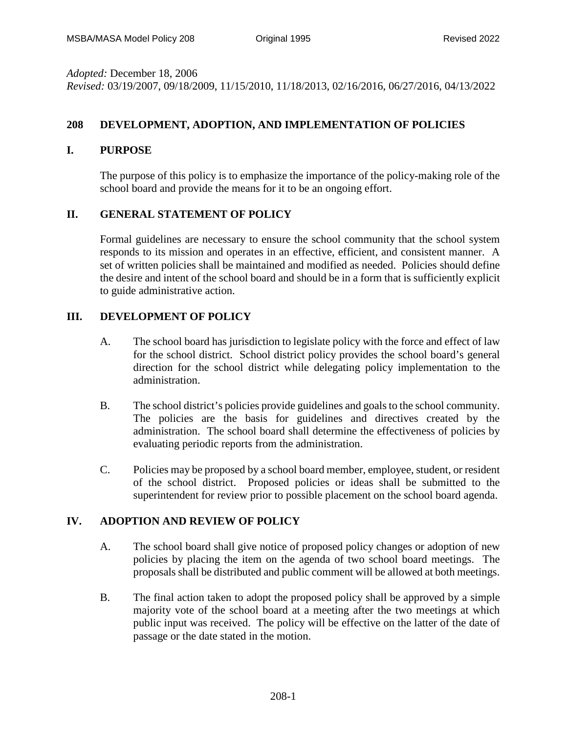*Adopted:* December 18, 2006 *Revised:* 03/19/2007, 09/18/2009, 11/15/2010, 11/18/2013, 02/16/2016, 06/27/2016, 04/13/2022

# **208 DEVELOPMENT, ADOPTION, AND IMPLEMENTATION OF POLICIES**

#### **I. PURPOSE**

The purpose of this policy is to emphasize the importance of the policy-making role of the school board and provide the means for it to be an ongoing effort.

### **II. GENERAL STATEMENT OF POLICY**

Formal guidelines are necessary to ensure the school community that the school system responds to its mission and operates in an effective, efficient, and consistent manner. A set of written policies shall be maintained and modified as needed. Policies should define the desire and intent of the school board and should be in a form that is sufficiently explicit to guide administrative action.

## **III. DEVELOPMENT OF POLICY**

- A. The school board has jurisdiction to legislate policy with the force and effect of law for the school district. School district policy provides the school board's general direction for the school district while delegating policy implementation to the administration.
- B. The school district's policies provide guidelines and goals to the school community. The policies are the basis for guidelines and directives created by the administration. The school board shall determine the effectiveness of policies by evaluating periodic reports from the administration.
- C. Policies may be proposed by a school board member, employee, student, or resident of the school district. Proposed policies or ideas shall be submitted to the superintendent for review prior to possible placement on the school board agenda.

### **IV. ADOPTION AND REVIEW OF POLICY**

- A. The school board shall give notice of proposed policy changes or adoption of new policies by placing the item on the agenda of two school board meetings. The proposals shall be distributed and public comment will be allowed at both meetings.
- B. The final action taken to adopt the proposed policy shall be approved by a simple majority vote of the school board at a meeting after the two meetings at which public input was received. The policy will be effective on the latter of the date of passage or the date stated in the motion.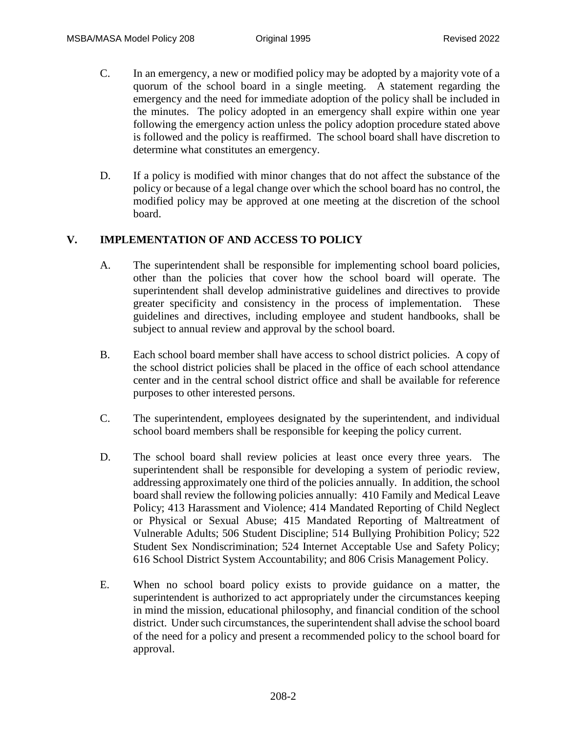- C. In an emergency, a new or modified policy may be adopted by a majority vote of a quorum of the school board in a single meeting. A statement regarding the emergency and the need for immediate adoption of the policy shall be included in the minutes. The policy adopted in an emergency shall expire within one year following the emergency action unless the policy adoption procedure stated above is followed and the policy is reaffirmed. The school board shall have discretion to determine what constitutes an emergency.
- D. If a policy is modified with minor changes that do not affect the substance of the policy or because of a legal change over which the school board has no control, the modified policy may be approved at one meeting at the discretion of the school board.

## **V. IMPLEMENTATION OF AND ACCESS TO POLICY**

- A. The superintendent shall be responsible for implementing school board policies, other than the policies that cover how the school board will operate. The superintendent shall develop administrative guidelines and directives to provide greater specificity and consistency in the process of implementation. These guidelines and directives, including employee and student handbooks, shall be subject to annual review and approval by the school board.
- B. Each school board member shall have access to school district policies. A copy of the school district policies shall be placed in the office of each school attendance center and in the central school district office and shall be available for reference purposes to other interested persons.
- C. The superintendent, employees designated by the superintendent, and individual school board members shall be responsible for keeping the policy current.
- D. The school board shall review policies at least once every three years. The superintendent shall be responsible for developing a system of periodic review, addressing approximately one third of the policies annually. In addition, the school board shall review the following policies annually: 410 Family and Medical Leave Policy; 413 Harassment and Violence; 414 Mandated Reporting of Child Neglect or Physical or Sexual Abuse; 415 Mandated Reporting of Maltreatment of Vulnerable Adults; 506 Student Discipline; 514 Bullying Prohibition Policy; 522 Student Sex Nondiscrimination; 524 Internet Acceptable Use and Safety Policy; 616 School District System Accountability; and 806 Crisis Management Policy.
- E. When no school board policy exists to provide guidance on a matter, the superintendent is authorized to act appropriately under the circumstances keeping in mind the mission, educational philosophy, and financial condition of the school district. Under such circumstances, the superintendent shall advise the school board of the need for a policy and present a recommended policy to the school board for approval.